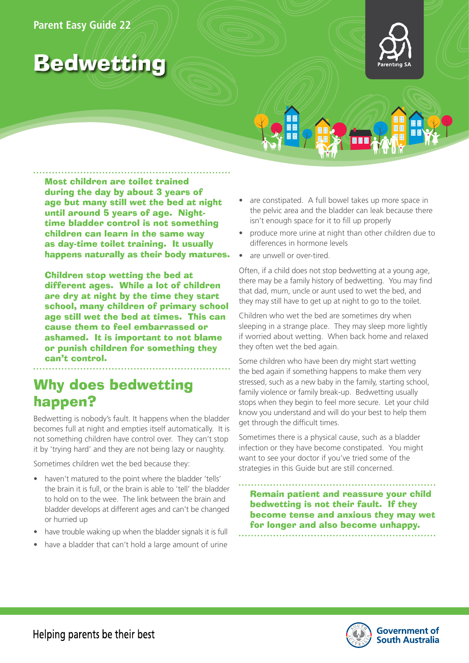

# Bedwetting

Most children are toilet trained during the day by about 3 years of age but many still wet the bed at night until around 5 years of age. Nighttime bladder control is not something children can learn in the same way as day-time toilet training. It usually happens naturally as their body matures.

Children stop wetting the bed at different ages. While a lot of children are dry at night by the time they start school, many children of primary school age still wet the bed at times. This can cause them to feel embarrassed or ashamed. It is important to not blame or punish children for something they can't control.

# Why does bedwetting happen?

Bedwetting is nobody's fault. It happens when the bladder becomes full at night and empties itself automatically. It is not something children have control over. They can't stop it by 'trying hard' and they are not being lazy or naughty.

Sometimes children wet the bed because they:

- haven't matured to the point where the bladder 'tells' the brain it is full, or the brain is able to 'tell' the bladder to hold on to the wee. The link between the brain and bladder develops at different ages and can't be changed or hurried up
- have trouble waking up when the bladder signals it is full
- have a bladder that can't hold a large amount of urine
- are constipated. A full bowel takes up more space in the pelvic area and the bladder can leak because there isn't enough space for it to fill up properly
- produce more urine at night than other children due to differences in hormone levels
- are unwell or over-tired.

Often, if a child does not stop bedwetting at a young age, there may be a family history of bedwetting. You may find that dad, mum, uncle or aunt used to wet the bed, and they may still have to get up at night to go to the toilet.

Children who wet the bed are sometimes dry when sleeping in a strange place. They may sleep more lightly if worried about wetting. When back home and relaxed they often wet the bed again.

Some children who have been dry might start wetting the bed again if something happens to make them very stressed, such as a new baby in the family, starting school, family violence or family break-up. Bedwetting usually stops when they begin to feel more secure. Let your child know you understand and will do your best to help them get through the difficult times.

Sometimes there is a physical cause, such as a bladder infection or they have become constipated. You might want to see your doctor if you've tried some of the strategies in this Guide but are still concerned.

Remain patient and reassure your child bedwetting is not their fault. If they become tense and anxious they may wet for longer and also become unhappy.

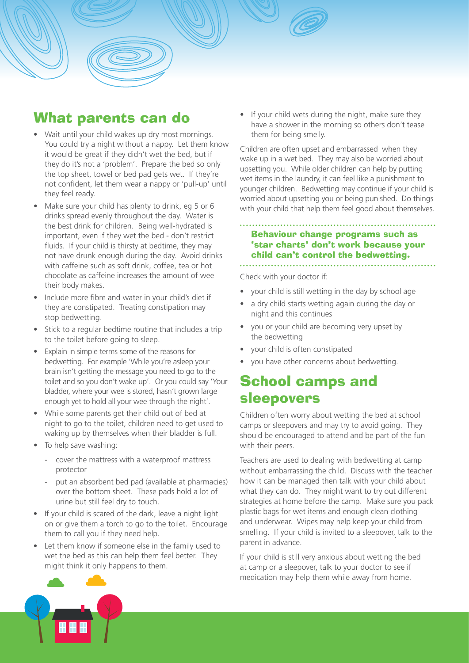

- Wait until your child wakes up dry most mornings. You could try a night without a nappy. Let them know it would be great if they didn't wet the bed, but if they do it's not a 'problem'. Prepare the bed so only the top sheet, towel or bed pad gets wet. If they're not confident, let them wear a nappy or 'pull-up' until they feel ready.
- Make sure your child has plenty to drink, eg 5 or 6 drinks spread evenly throughout the day. Water is the best drink for children. Being well-hydrated is important, even if they wet the bed - don't restrict fluids. If your child is thirsty at bedtime, they may not have drunk enough during the day. Avoid drinks with caffeine such as soft drink, coffee, tea or hot chocolate as caffeine increases the amount of wee their body makes.
- Include more fibre and water in your child's diet if they are constipated. Treating constipation may stop bedwetting.
- Stick to a regular bedtime routine that includes a trip to the toilet before going to sleep.
- Explain in simple terms some of the reasons for bedwetting. For example 'While you're asleep your brain isn't getting the message you need to go to the toilet and so you don't wake up'. Or you could say 'Your bladder, where your wee is stored, hasn't grown large enough yet to hold all your wee through the night'.
- While some parents get their child out of bed at night to go to the toilet, children need to get used to waking up by themselves when their bladder is full.
- To help save washing:
	- cover the mattress with a waterproof mattress protector
	- put an absorbent bed pad (available at pharmacies) over the bottom sheet. These pads hold a lot of urine but still feel dry to touch.
- If your child is scared of the dark, leave a night light on or give them a torch to go to the toilet. Encourage them to call you if they need help.
- Let them know if someone else in the family used to wet the bed as this can help them feel better. They might think it only happens to them.

If your child wets during the night, make sure they have a shower in the morning so others don't tease them for being smelly.

Children are often upset and embarrassed when they wake up in a wet bed. They may also be worried about upsetting you. While older children can help by putting wet items in the laundry, it can feel like a punishment to younger children. Bedwetting may continue if your child is worried about upsetting you or being punished. Do things with your child that help them feel good about themselves.

### Behaviour change programs such as 'star charts' don't work because your child can't control the bedwetting.

Check with your doctor if:

• your child is still wetting in the day by school age

- a dry child starts wetting again during the day or night and this continues
- you or your child are becoming very upset by the bedwetting
- your child is often constipated
- you have other concerns about bedwetting.

# School camps and sleepovers

Children often worry about wetting the bed at school camps or sleepovers and may try to avoid going. They should be encouraged to attend and be part of the fun with their peers.

Teachers are used to dealing with bedwetting at camp without embarrassing the child. Discuss with the teacher how it can be managed then talk with your child about what they can do. They might want to try out different strategies at home before the camp. Make sure you pack plastic bags for wet items and enough clean clothing and underwear. Wipes may help keep your child from smelling. If your child is invited to a sleepover, talk to the parent in advance.

If your child is still very anxious about wetting the bed at camp or a sleepover, talk to your doctor to see if medication may help them while away from home.

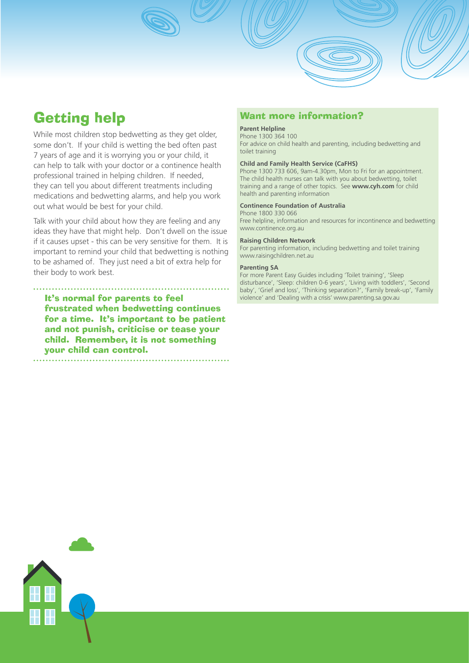# Getting help

While most children stop bedwetting as they get older. some don't. If your child is wetting the bed often past 7 years of age and it is worrying you or your child, it can help to talk with your doctor or a continence health professional trained in helping children. If needed, they can tell you about different treatments including medications and bedwetting alarms, and help you work out what would be best for your child.

Talk with your child about how they are feeling and any ideas they have that might help. Don't dwell on the issue if it causes upset - this can be very sensitive for them. It is important to remind your child that bedwetting is nothing to be ashamed of. They just need a bit of extra help for their body to work best.

### It's normal for parents to feel frustrated when bedwetting continues for a time. It's important to be patient and not punish, criticise or tease your child. Remember, it is not something

your child can control.

### Want more information?

#### **Parent Helpline**

Phone 1300 364 100 For advice on child health and parenting, including bedwetting and toilet training

#### **Child and Family Health Service (CaFHS)**

Phone 1300 733 606, 9am-4.30pm, Mon to Fri for an appointment. The child health nurses can talk with you about bedwetting, toilet training and a range of other topics. See **www.cyh.com** for child health and parenting information

#### **Continence Foundation of Australia**

Phone 1800 330 066

Free helpline, information and resources for incontinence and bedwetting www.continence.org.au

#### **Raising Children Network**

For parenting information, including bedwetting and toilet training www.raisingchildren.net.au

#### **Parenting SA**

For more Parent Easy Guides including 'Toilet training', 'Sleep disturbance', 'Sleep: children 0-6 years', 'Living with toddlers', 'Second baby', 'Grief and loss', 'Thinking separation?', 'Family break-up', 'Family violence' and 'Dealing with a crisis' www.parenting.sa.gov.au